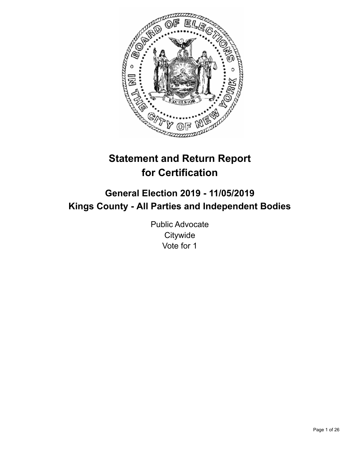

# **Statement and Return Report for Certification**

## **General Election 2019 - 11/05/2019 Kings County - All Parties and Independent Bodies**

Public Advocate **Citywide** Vote for 1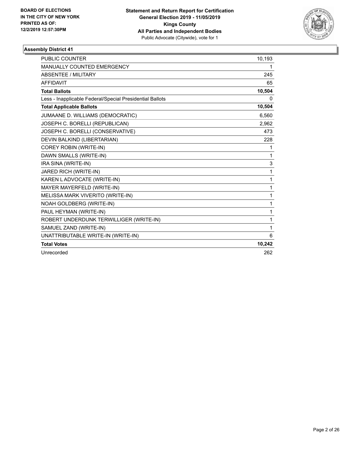

| <b>PUBLIC COUNTER</b>                                    | 10,193 |
|----------------------------------------------------------|--------|
| MANUALLY COUNTED EMERGENCY                               | 1      |
| <b>ABSENTEE / MILITARY</b>                               | 245    |
| <b>AFFIDAVIT</b>                                         | 65     |
| <b>Total Ballots</b>                                     | 10,504 |
| Less - Inapplicable Federal/Special Presidential Ballots | 0      |
| <b>Total Applicable Ballots</b>                          | 10,504 |
| JUMAANE D. WILLIAMS (DEMOCRATIC)                         | 6,560  |
| JOSEPH C. BORELLI (REPUBLICAN)                           | 2,962  |
| JOSEPH C. BORELLI (CONSERVATIVE)                         | 473    |
| DEVIN BALKIND (LIBERTARIAN)                              | 228    |
| <b>COREY ROBIN (WRITE-IN)</b>                            | 1      |
| DAWN SMALLS (WRITE-IN)                                   | 1      |
| IRA SINA (WRITE-IN)                                      | 3      |
| JARED RICH (WRITE-IN)                                    | 1      |
| KAREN LADVOCATE (WRITE-IN)                               | 1      |
| MAYER MAYERFELD (WRITE-IN)                               | 1      |
| MELISSA MARK VIVERITO (WRITE-IN)                         | 1      |
| NOAH GOLDBERG (WRITE-IN)                                 | 1      |
| PAUL HEYMAN (WRITE-IN)                                   | 1      |
| ROBERT UNDERDUNK TERWILLIGER (WRITE-IN)                  | 1      |
| SAMUEL ZAND (WRITE-IN)                                   | 1      |
| UNATTRIBUTABLE WRITE-IN (WRITE-IN)                       | 6      |
| <b>Total Votes</b>                                       | 10,242 |
| Unrecorded                                               | 262    |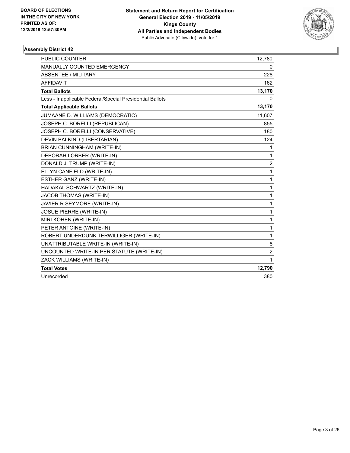

| <b>PUBLIC COUNTER</b>                                    | 12,780         |
|----------------------------------------------------------|----------------|
| MANUALLY COUNTED EMERGENCY                               | 0              |
| <b>ABSENTEE / MILITARY</b>                               | 228            |
| <b>AFFIDAVIT</b>                                         | 162            |
| <b>Total Ballots</b>                                     | 13,170         |
| Less - Inapplicable Federal/Special Presidential Ballots | 0              |
| <b>Total Applicable Ballots</b>                          | 13,170         |
| JUMAANE D. WILLIAMS (DEMOCRATIC)                         | 11,607         |
| JOSEPH C. BORELLI (REPUBLICAN)                           | 855            |
| JOSEPH C. BORELLI (CONSERVATIVE)                         | 180            |
| DEVIN BALKIND (LIBERTARIAN)                              | 124            |
| BRIAN CUNNINGHAM (WRITE-IN)                              | 1              |
| DEBORAH LORBER (WRITE-IN)                                | 1              |
| DONALD J. TRUMP (WRITE-IN)                               | $\overline{2}$ |
| ELLYN CANFIELD (WRITE-IN)                                | $\mathbf{1}$   |
| ESTHER GANZ (WRITE-IN)                                   | 1              |
| HADAKAL SCHWARTZ (WRITE-IN)                              | 1              |
| JACOB THOMAS (WRITE-IN)                                  | 1              |
| JAVIER R SEYMORE (WRITE-IN)                              | 1              |
| <b>JOSUE PIERRE (WRITE-IN)</b>                           | 1              |
| MIRI KOHEN (WRITE-IN)                                    | 1              |
| PETER ANTOINE (WRITE-IN)                                 | 1              |
| ROBERT UNDERDUNK TERWILLIGER (WRITE-IN)                  | 1              |
| UNATTRIBUTABLE WRITE-IN (WRITE-IN)                       | 8              |
| UNCOUNTED WRITE-IN PER STATUTE (WRITE-IN)                | $\overline{2}$ |
| ZACK WILLIAMS (WRITE-IN)                                 | 1              |
| <b>Total Votes</b>                                       | 12,790         |
| Unrecorded                                               | 380            |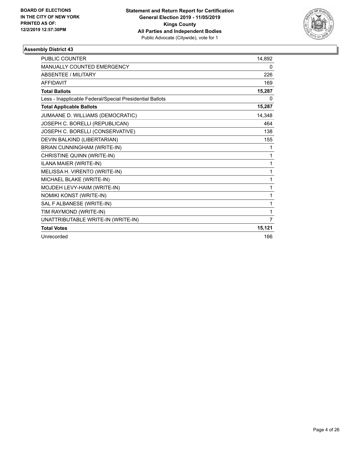

| <b>PUBLIC COUNTER</b>                                    | 14.892 |
|----------------------------------------------------------|--------|
| <b>MANUALLY COUNTED EMERGENCY</b>                        | 0      |
| <b>ABSENTEE / MILITARY</b>                               | 226    |
| <b>AFFIDAVIT</b>                                         | 169    |
| <b>Total Ballots</b>                                     | 15,287 |
| Less - Inapplicable Federal/Special Presidential Ballots | 0      |
| <b>Total Applicable Ballots</b>                          | 15,287 |
| JUMAANE D. WILLIAMS (DEMOCRATIC)                         | 14,348 |
| JOSEPH C. BORELLI (REPUBLICAN)                           | 464    |
| JOSEPH C. BORELLI (CONSERVATIVE)                         | 138    |
| DEVIN BALKIND (LIBERTARIAN)                              | 155    |
| BRIAN CUNNINGHAM (WRITE-IN)                              | 1      |
| CHRISTINE QUINN (WRITE-IN)                               | 1      |
| ILANA MAIER (WRITE-IN)                                   | 1      |
| MELISSA H. VIRENTO (WRITE-IN)                            | 1      |
| MICHAEL BLAKE (WRITE-IN)                                 | 1      |
| MOJDEH LEVY-HAIM (WRITE-IN)                              | 1      |
| NOMIKI KONST (WRITE-IN)                                  | 1      |
| SAL F ALBANESE (WRITE-IN)                                | 1      |
| TIM RAYMOND (WRITE-IN)                                   | 1      |
| UNATTRIBUTABLE WRITE-IN (WRITE-IN)                       | 7      |
| <b>Total Votes</b>                                       | 15,121 |
| Unrecorded                                               | 166    |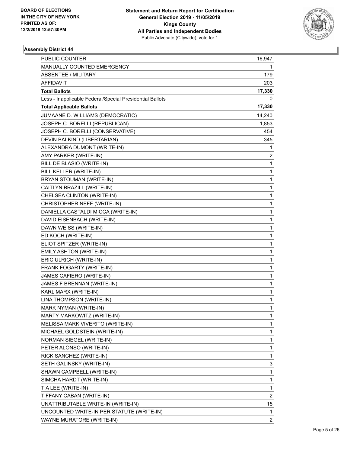

| PUBLIC COUNTER                                           | 16,947         |
|----------------------------------------------------------|----------------|
| MANUALLY COUNTED EMERGENCY                               | 1              |
| ABSENTEE / MILITARY                                      | 179            |
| <b>AFFIDAVIT</b>                                         | 203            |
| <b>Total Ballots</b>                                     | 17,330         |
| Less - Inapplicable Federal/Special Presidential Ballots | 0              |
| <b>Total Applicable Ballots</b>                          | 17,330         |
| JUMAANE D. WILLIAMS (DEMOCRATIC)                         | 14,240         |
| JOSEPH C. BORELLI (REPUBLICAN)                           | 1,853          |
| JOSEPH C. BORELLI (CONSERVATIVE)                         | 454            |
| DEVIN BALKIND (LIBERTARIAN)                              | 345            |
| ALEXANDRA DUMONT (WRITE-IN)                              | 1              |
| AMY PARKER (WRITE-IN)                                    | 2              |
| BILL DE BLASIO (WRITE-IN)                                | 1              |
| BILL KELLER (WRITE-IN)                                   | 1              |
| BRYAN STOUMAN (WRITE-IN)                                 | 1              |
| CAITLYN BRAZILL (WRITE-IN)                               | 1              |
| CHELSEA CLINTON (WRITE-IN)                               | 1              |
| CHRISTOPHER NEFF (WRITE-IN)                              | 1              |
| DANIELLA CASTALDI MICCA (WRITE-IN)                       | 1              |
| DAVID EISENBACH (WRITE-IN)                               | 1              |
| DAWN WEISS (WRITE-IN)                                    | 1              |
| ED KOCH (WRITE-IN)                                       | 1              |
| ELIOT SPITZER (WRITE-IN)                                 | 1              |
| EMILY ASHTON (WRITE-IN)                                  | 1              |
| ERIC ULRICH (WRITE-IN)                                   | 1              |
| FRANK FOGARTY (WRITE-IN)                                 | 1              |
| JAMES CAFIERO (WRITE-IN)                                 | 1              |
| JAMES F BRENNAN (WRITE-IN)                               | 1              |
| KARL MARX (WRITE-IN)                                     | 1              |
| LINA THOMPSON (WRITE-IN)                                 | 1              |
| MARK NYMAN (WRITE-IN)                                    | 1              |
| MARTY MARKOWITZ (WRITE-IN)                               | 1              |
| MELISSA MARK VIVERITO (WRITE-IN)                         | 1              |
| MICHAEL GOLDSTEIN (WRITE-IN)                             | 1              |
| NORMAN SIEGEL (WRITE-IN)                                 | 1              |
| PETER ALONSO (WRITE-IN)                                  | 1              |
| RICK SANCHEZ (WRITE-IN)                                  | 1              |
| SETH GALINSKY (WRITE-IN)                                 | 3              |
| SHAWN CAMPBELL (WRITE-IN)                                | 1              |
| SIMCHA HARDT (WRITE-IN)                                  | 1              |
| TIA LEE (WRITE-IN)                                       | 1              |
| TIFFANY CABAN (WRITE-IN)                                 | 2              |
| UNATTRIBUTABLE WRITE-IN (WRITE-IN)                       | 15             |
| UNCOUNTED WRITE-IN PER STATUTE (WRITE-IN)                | 1              |
| WAYNE MURATORE (WRITE-IN)                                | $\overline{2}$ |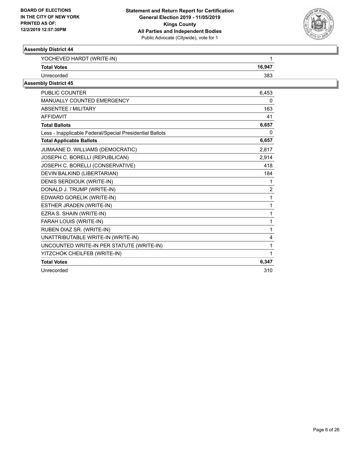

| YOCHEVED HARDT (WRITE-IN)                                | 1              |
|----------------------------------------------------------|----------------|
| <b>Total Votes</b>                                       | 16,947         |
| Unrecorded                                               | 383            |
| <b>Assembly District 45</b>                              |                |
| <b>PUBLIC COUNTER</b>                                    | 6,453          |
| MANUALLY COUNTED EMERGENCY                               | 0              |
| ABSENTEE / MILITARY                                      | 163            |
| <b>AFFIDAVIT</b>                                         | 41             |
| <b>Total Ballots</b>                                     | 6,657          |
| Less - Inapplicable Federal/Special Presidential Ballots | 0              |
| <b>Total Applicable Ballots</b>                          | 6,657          |
| JUMAANE D. WILLIAMS (DEMOCRATIC)                         | 2,817          |
| JOSEPH C. BORELLI (REPUBLICAN)                           | 2,914          |
| JOSEPH C. BORELLI (CONSERVATIVE)                         | 418            |
| DEVIN BALKIND (LIBERTARIAN)                              | 184            |
| DENIS SERDIOUK (WRITE-IN)                                | 1              |
| DONALD J. TRUMP (WRITE-IN)                               | $\overline{2}$ |
| EDWARD GORELIK (WRITE-IN)                                | $\mathbf{1}$   |
| ESTHER JRADEN (WRITE-IN)                                 | 1              |
| EZRA S. SHAIN (WRITE-IN)                                 | $\mathbf{1}$   |
| FARAH LOUIS (WRITE-IN)                                   | 1              |
| RUBEN DIAZ SR. (WRITE-IN)                                | $\mathbf{1}$   |
| UNATTRIBUTABLE WRITE-IN (WRITE-IN)                       | 4              |
| UNCOUNTED WRITE-IN PER STATUTE (WRITE-IN)                | $\mathbf{1}$   |
| YITZCHOK CHEILFEB (WRITE-IN)                             | 1              |
| <b>Total Votes</b>                                       | 6,347          |
| Unrecorded                                               | 310            |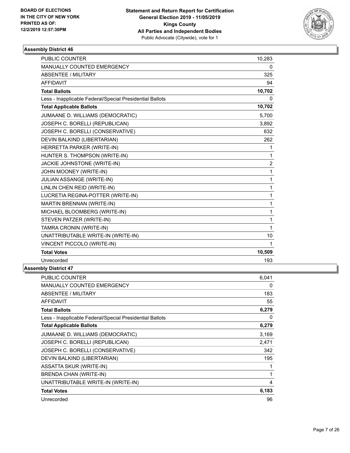

| <b>PUBLIC COUNTER</b>                                    | 10,283         |
|----------------------------------------------------------|----------------|
| MANUALLY COUNTED EMERGENCY                               | 0              |
| <b>ABSENTEE / MILITARY</b>                               | 325            |
| <b>AFFIDAVIT</b>                                         | 94             |
| <b>Total Ballots</b>                                     | 10,702         |
| Less - Inapplicable Federal/Special Presidential Ballots | 0              |
| <b>Total Applicable Ballots</b>                          | 10,702         |
| JUMAANE D. WILLIAMS (DEMOCRATIC)                         | 5,700          |
| JOSEPH C. BORELLI (REPUBLICAN)                           | 3,892          |
| JOSEPH C. BORELLI (CONSERVATIVE)                         | 632            |
| DEVIN BALKIND (LIBERTARIAN)                              | 262            |
| HERRETTA PARKER (WRITE-IN)                               | 1              |
| HUNTER S. THOMPSON (WRITE-IN)                            | 1              |
| JACKIE JOHNSTONE (WRITE-IN)                              | $\overline{2}$ |
| JOHN MOONEY (WRITE-IN)                                   | 1              |
| JULIAN ASSANGE (WRITE-IN)                                | 1              |
| LINLIN CHEN REID (WRITE-IN)                              | 1              |
| LUCRETIA REGINA-POTTER (WRITE-IN)                        | 1              |
| MARTIN BRENNAN (WRITE-IN)                                | 1              |
| MICHAEL BLOOMBERG (WRITE-IN)                             | 1              |
| STEVEN PATZER (WRITE-IN)                                 | 1              |
| TAMRA CRONIN (WRITE-IN)                                  | 1              |
| UNATTRIBUTABLE WRITE-IN (WRITE-IN)                       | 10             |
| VINCENT PICCOLO (WRITE-IN)                               | $\mathbf 1$    |
| <b>Total Votes</b>                                       | 10,509         |
| Unrecorded                                               | 193            |

| PUBLIC COUNTER                                           | 6,041 |
|----------------------------------------------------------|-------|
| <b>MANUALLY COUNTED EMERGENCY</b>                        | 0     |
| ABSENTEE / MILITARY                                      | 183   |
| <b>AFFIDAVIT</b>                                         | 55    |
| <b>Total Ballots</b>                                     | 6,279 |
| Less - Inapplicable Federal/Special Presidential Ballots | 0     |
| <b>Total Applicable Ballots</b>                          | 6,279 |
| JUMAANE D. WILLIAMS (DEMOCRATIC)                         | 3,169 |
| JOSEPH C. BORELLI (REPUBLICAN)                           | 2,471 |
| JOSEPH C. BORELLI (CONSERVATIVE)                         | 342   |
| DEVIN BALKIND (LIBERTARIAN)                              | 195   |
| <b>ASSATTA SKUR (WRITE-IN)</b>                           | 1     |
| BRENDA CHAN (WRITE-IN)                                   | 1     |
| UNATTRIBUTABLE WRITE-IN (WRITE-IN)                       | 4     |
| <b>Total Votes</b>                                       | 6,183 |
| Unrecorded                                               | 96    |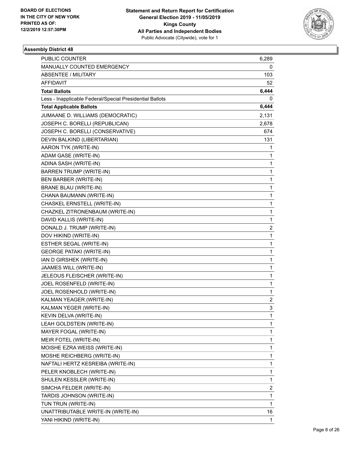

| PUBLIC COUNTER                                           | 6,289        |
|----------------------------------------------------------|--------------|
| MANUALLY COUNTED EMERGENCY                               | 0            |
| <b>ABSENTEE / MILITARY</b>                               | 103          |
| AFFIDAVIT                                                | 52           |
| <b>Total Ballots</b>                                     | 6,444        |
| Less - Inapplicable Federal/Special Presidential Ballots | 0            |
| <b>Total Applicable Ballots</b>                          | 6,444        |
| JUMAANE D. WILLIAMS (DEMOCRATIC)                         | 2,131        |
| JOSEPH C. BORELLI (REPUBLICAN)                           | 2,678        |
| JOSEPH C. BORELLI (CONSERVATIVE)                         | 674          |
| DEVIN BALKIND (LIBERTARIAN)                              | 131          |
| AARON TYK (WRITE-IN)                                     | 1            |
| ADAM GASE (WRITE-IN)                                     | 1            |
| ADINA SASH (WRITE-IN)                                    | 1            |
| <b>BARREN TRUMP (WRITE-IN)</b>                           | 1            |
| BEN BARBER (WRITE-IN)                                    | 1            |
| <b>BRANE BLAU (WRITE-IN)</b>                             | 1            |
| CHANA BAUMANN (WRITE-IN)                                 | 1            |
| CHASKEL ERNSTELL (WRITE-IN)                              | 1            |
| CHAZKEL ZITRONENBAUM (WRITE-IN)                          | 1            |
| DAVID KALLIS (WRITE-IN)                                  | 1            |
| DONALD J. TRUMP (WRITE-IN)                               | 2            |
| DOV HIKIND (WRITE-IN)                                    | 1            |
| ESTHER SEGAL (WRITE-IN)                                  | 1            |
| <b>GEORGE PATAKI (WRITE-IN)</b>                          | 1            |
| IAN D GIRSHEK (WRITE-IN)                                 | 1            |
| JAAMES WILL (WRITE-IN)                                   | 1            |
| JELEOUS FLEISCHER (WRITE-IN)                             | 1            |
| JOEL ROSENFELD (WRITE-IN)                                | 1            |
| JOEL ROSENHOLD (WRITE-IN)                                | 1            |
| KALMAN YEAGER (WRITE-IN)                                 | 2            |
| KALMAN YEGER (WRITE-IN)                                  | 3            |
| KEVIN DELVA (WRITE-IN)                                   | 1            |
| LEAH GOLDSTEIN (WRITE-IN)                                | 1            |
| MAYER FOGAL (WRITE-IN)                                   | 1            |
| MEIR FOTEL (WRITE-IN)                                    | 1            |
| MOISHE EZRA WEISS (WRITE-IN)                             | 1            |
| MOSHE REICHBERG (WRITE-IN)                               | 1            |
| NAFTALI HERTZ KESREIBA (WRITE-IN)                        | 1            |
| PELER KNOBLECH (WRITE-IN)                                | 1            |
| SHULEN KESSLER (WRITE-IN)                                | 1            |
| SIMCHA FELDER (WRITE-IN)                                 | 2            |
| TARDIS JOHNSON (WRITE-IN)                                | 1            |
| TUN TRUN (WRITE-IN)                                      | $\mathbf{1}$ |
| UNATTRIBUTABLE WRITE-IN (WRITE-IN)                       | 16           |
| YANI HIKIND (WRITE-IN)                                   | 1            |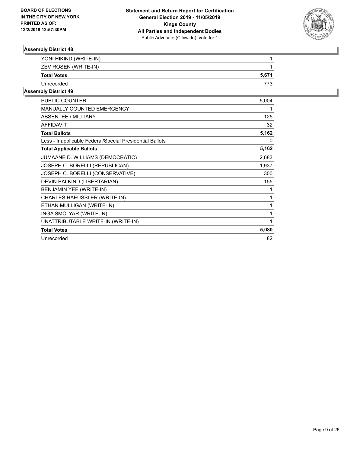

| YONI HIKIND (WRITE-IN) |       |
|------------------------|-------|
| ZEV ROSEN (WRITE-IN)   |       |
| <b>Total Votes</b>     | 5,671 |
| Unrecorded             |       |
|                        |       |

| <b>PUBLIC COUNTER</b>                                    | 5,004 |
|----------------------------------------------------------|-------|
| <b>MANUALLY COUNTED EMERGENCY</b>                        | 1     |
| <b>ABSENTEE / MILITARY</b>                               | 125   |
| <b>AFFIDAVIT</b>                                         | 32    |
| <b>Total Ballots</b>                                     | 5,162 |
| Less - Inapplicable Federal/Special Presidential Ballots | 0     |
| <b>Total Applicable Ballots</b>                          | 5,162 |
| JUMAANE D. WILLIAMS (DEMOCRATIC)                         | 2,683 |
| JOSEPH C. BORELLI (REPUBLICAN)                           | 1,937 |
| JOSEPH C. BORELLI (CONSERVATIVE)                         | 300   |
| DEVIN BALKIND (LIBERTARIAN)                              | 155   |
| BENJAMIN YEE (WRITE-IN)                                  | 1     |
| CHARLES HAEUSSLER (WRITE-IN)                             | 1     |
| ETHAN MULLIGAN (WRITE-IN)                                | 1     |
| INGA SMOLYAR (WRITE-IN)                                  | 1     |
| UNATTRIBUTABLE WRITE-IN (WRITE-IN)                       | 1     |
| <b>Total Votes</b>                                       | 5,080 |
| Unrecorded                                               | 82    |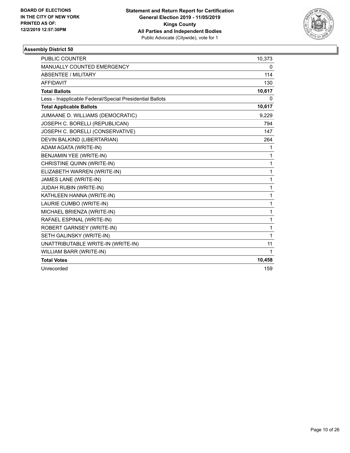

| <b>PUBLIC COUNTER</b>                                    | 10,373 |
|----------------------------------------------------------|--------|
| <b>MANUALLY COUNTED EMERGENCY</b>                        | 0      |
| <b>ABSENTEE / MILITARY</b>                               | 114    |
| <b>AFFIDAVIT</b>                                         | 130    |
| <b>Total Ballots</b>                                     | 10,617 |
| Less - Inapplicable Federal/Special Presidential Ballots | 0      |
| <b>Total Applicable Ballots</b>                          | 10,617 |
| JUMAANE D. WILLIAMS (DEMOCRATIC)                         | 9,229  |
| JOSEPH C. BORELLI (REPUBLICAN)                           | 794    |
| JOSEPH C. BORELLI (CONSERVATIVE)                         | 147    |
| DEVIN BALKIND (LIBERTARIAN)                              | 264    |
| ADAM AGATA (WRITE-IN)                                    | 1      |
| BENJAMIN YEE (WRITE-IN)                                  | 1      |
| CHRISTINE QUINN (WRITE-IN)                               | 1      |
| ELIZABETH WARREN (WRITE-IN)                              | 1      |
| JAMES LANE (WRITE-IN)                                    | 1      |
| JUDAH RUBIN (WRITE-IN)                                   | 1      |
| KATHLEEN HANNA (WRITE-IN)                                | 1      |
| LAURIE CUMBO (WRITE-IN)                                  | 1      |
| MICHAEL BRIENZA (WRITE-IN)                               | 1      |
| RAFAEL ESPINAL (WRITE-IN)                                | 1      |
| ROBERT GARNSEY (WRITE-IN)                                | 1      |
| SETH GALINSKY (WRITE-IN)                                 | 1      |
| UNATTRIBUTABLE WRITE-IN (WRITE-IN)                       | 11     |
| WILLIAM BARR (WRITE-IN)                                  | 1      |
| <b>Total Votes</b>                                       | 10,458 |
| Unrecorded                                               | 159    |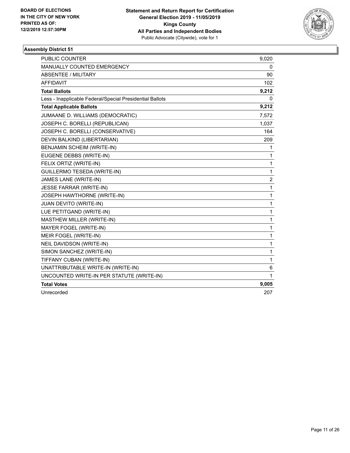

| <b>PUBLIC COUNTER</b>                                    | 9,020            |
|----------------------------------------------------------|------------------|
| <b>MANUALLY COUNTED EMERGENCY</b>                        | 0                |
| <b>ABSENTEE / MILITARY</b>                               | 90               |
| <b>AFFIDAVIT</b>                                         | 102              |
| <b>Total Ballots</b>                                     | 9,212            |
| Less - Inapplicable Federal/Special Presidential Ballots | 0                |
| <b>Total Applicable Ballots</b>                          | 9,212            |
| JUMAANE D. WILLIAMS (DEMOCRATIC)                         | 7,572            |
| JOSEPH C. BORELLI (REPUBLICAN)                           | 1,037            |
| JOSEPH C. BORELLI (CONSERVATIVE)                         | 164              |
| DEVIN BALKIND (LIBERTARIAN)                              | 209              |
| <b>BENJAMIN SCHEIM (WRITE-IN)</b>                        | 1                |
| EUGENE DEBBS (WRITE-IN)                                  | 1                |
| FELIX ORTIZ (WRITE-IN)                                   | 1                |
| GUILLERMO TESEDA (WRITE-IN)                              | 1                |
| JAMES LANE (WRITE-IN)                                    | $\boldsymbol{2}$ |
| JESSE FARRAR (WRITE-IN)                                  | 1                |
| <b>JOSEPH HAWTHORNE (WRITE-IN)</b>                       | 1                |
| JUAN DEVITO (WRITE-IN)                                   | 1                |
| LUE PETITGAND (WRITE-IN)                                 | 1                |
| MASTHEW MILLER (WRITE-IN)                                | 1                |
| MAYER FOGEL (WRITE-IN)                                   | 1                |
| MEIR FOGEL (WRITE-IN)                                    | 1                |
| NEIL DAVIDSON (WRITE-IN)                                 | 1                |
| SIMON SANCHEZ (WRITE-IN)                                 | 1                |
| TIFFANY CUBAN (WRITE-IN)                                 | 1                |
| UNATTRIBUTABLE WRITE-IN (WRITE-IN)                       | 6                |
| UNCOUNTED WRITE-IN PER STATUTE (WRITE-IN)                | 1                |
| <b>Total Votes</b>                                       | 9,005            |
| Unrecorded                                               | 207              |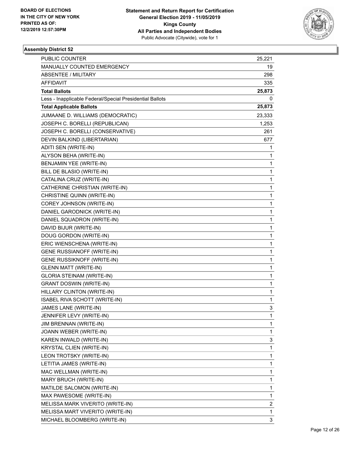

| PUBLIC COUNTER                                           | 25,221 |
|----------------------------------------------------------|--------|
| MANUALLY COUNTED EMERGENCY                               | 19     |
| <b>ABSENTEE / MILITARY</b>                               | 298    |
| AFFIDAVIT                                                | 335    |
| <b>Total Ballots</b>                                     | 25,873 |
| Less - Inapplicable Federal/Special Presidential Ballots | 0      |
| <b>Total Applicable Ballots</b>                          | 25,873 |
| JUMAANE D. WILLIAMS (DEMOCRATIC)                         | 23,333 |
| JOSEPH C. BORELLI (REPUBLICAN)                           | 1,253  |
| JOSEPH C. BORELLI (CONSERVATIVE)                         | 261    |
| DEVIN BALKIND (LIBERTARIAN)                              | 677    |
| ADITI SEN (WRITE-IN)                                     | 1      |
| ALYSON BEHA (WRITE-IN)                                   | 1      |
| BENJAMIN YEE (WRITE-IN)                                  | 1      |
| BILL DE BLASIO (WRITE-IN)                                | 1      |
| CATALINA CRUZ (WRITE-IN)                                 | 1      |
| CATHERINE CHRISTIAN (WRITE-IN)                           | 1      |
| CHRISTINE QUINN (WRITE-IN)                               | 1      |
| COREY JOHNSON (WRITE-IN)                                 | 1      |
| DANIEL GARODNICK (WRITE-IN)                              | 1      |
| DANIEL SQUADRON (WRITE-IN)                               | 1      |
| DAVID BIJUR (WRITE-IN)                                   | 1      |
| DOUG GORDON (WRITE-IN)                                   | 1      |
| ERIC WIENSCHENA (WRITE-IN)                               | 1      |
| <b>GENE RUSSIANOFF (WRITE-IN)</b>                        | 1      |
| GENE RUSSIKNOFF (WRITE-IN)                               | 1      |
| <b>GLENN MATT (WRITE-IN)</b>                             | 1      |
| <b>GLORIA STEINAM (WRITE-IN)</b>                         | 1      |
| <b>GRANT DOSWIN (WRITE-IN)</b>                           | 1      |
| HILLARY CLINTON (WRITE-IN)                               | 1      |
| ISABEL RIVA SCHOTT (WRITE-IN)                            | 1      |
| JAMES LANE (WRITE-IN)                                    | 3      |
| JENNIFER LEVY (WRITE-IN)                                 | 1      |
| JIM BRENNAN (WRITE-IN)                                   | 1      |
| JOANN WEBER (WRITE-IN)                                   | 1      |
| KAREN INWALD (WRITE-IN)                                  | 3      |
| KRYSTAL CLIEN (WRITE-IN)                                 | 1      |
| LEON TROTSKY (WRITE-IN)                                  | 1      |
| LETITIA JAMES (WRITE-IN)                                 | 1      |
| MAC WELLMAN (WRITE-IN)                                   | 1      |
| MARY BRUCH (WRITE-IN)                                    | 1      |
| MATILDE SALOMON (WRITE-IN)                               | 1      |
| MAX PAWESOME (WRITE-IN)                                  | 1      |
| MELISSA MARK VIVERITO (WRITE-IN)                         | 2      |
| MELISSA MART VIVERITO (WRITE-IN)                         | 1      |
| MICHAEL BLOOMBERG (WRITE-IN)                             | 3      |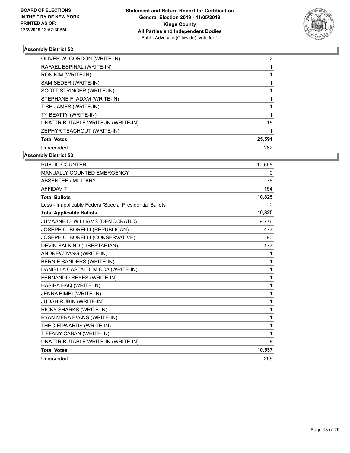

| OLIVER W. GORDON (WRITE-IN)        | 2      |
|------------------------------------|--------|
| RAFAEL ESPINAL (WRITE-IN)          |        |
| RON KIM (WRITE-IN)                 |        |
| SAM SEDER (WRITE-IN)               |        |
| SCOTT STRINGER (WRITE-IN)          |        |
| STEPHANE F. ADAM (WRITE-IN)        |        |
| TISH JAMES (WRITE-IN)              |        |
| TY BEATTY (WRITE-IN)               |        |
| UNATTRIBUTABLE WRITE-IN (WRITE-IN) | 15     |
| ZEPHYR TEACHOUT (WRITE-IN)         |        |
| <b>Total Votes</b>                 | 25,591 |
| Unrecorded                         | 282    |

| PUBLIC COUNTER                                           | 10,595 |
|----------------------------------------------------------|--------|
| <b>MANUALLY COUNTED EMERGENCY</b>                        | 0      |
| ABSENTEE / MILITARY                                      | 76     |
| <b>AFFIDAVIT</b>                                         | 154    |
| <b>Total Ballots</b>                                     | 10,825 |
| Less - Inapplicable Federal/Special Presidential Ballots | 0      |
| <b>Total Applicable Ballots</b>                          | 10,825 |
| JUMAANE D. WILLIAMS (DEMOCRATIC)                         | 9,776  |
| JOSEPH C. BORELLI (REPUBLICAN)                           | 477    |
| JOSEPH C. BORELLI (CONSERVATIVE)                         | 90     |
| DEVIN BALKIND (LIBERTARIAN)                              | 177    |
| ANDREW YANG (WRITE-IN)                                   | 1      |
| BERNIE SANDERS (WRITE-IN)                                | 1      |
| DANIELLA CASTALDI MICCA (WRITE-IN)                       | 1      |
| FERNANDO REYES (WRITE-IN)                                | 1      |
| HASIBA HAQ (WRITE-IN)                                    | 1      |
| JENNA BIMBI (WRITE-IN)                                   | 1      |
| JUDAH RUBIN (WRITE-IN)                                   | 1      |
| RICKY SHARKS (WRITE-IN)                                  | 1      |
| RYAN MERA EVANS (WRITE-IN)                               | 1      |
| THEO EDWARDS (WRITE-IN)                                  | 1      |
| TIFFANY CABAN (WRITE-IN)                                 | 1      |
| UNATTRIBUTABLE WRITE-IN (WRITE-IN)                       | 6      |
| <b>Total Votes</b>                                       | 10,537 |
| Unrecorded                                               | 288    |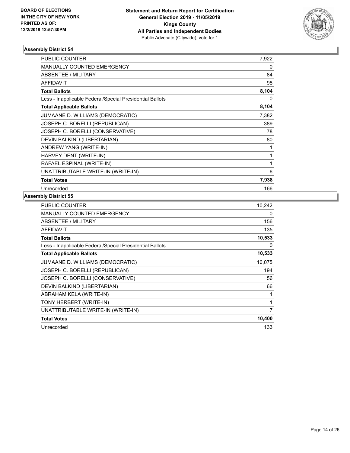

| <b>PUBLIC COUNTER</b>                                    | 7,922 |
|----------------------------------------------------------|-------|
| <b>MANUALLY COUNTED EMERGENCY</b>                        | 0     |
| <b>ABSENTEE / MILITARY</b>                               | 84    |
| <b>AFFIDAVIT</b>                                         | 98    |
| <b>Total Ballots</b>                                     | 8,104 |
| Less - Inapplicable Federal/Special Presidential Ballots | 0     |
| <b>Total Applicable Ballots</b>                          | 8,104 |
| JUMAANE D. WILLIAMS (DEMOCRATIC)                         | 7,382 |
| JOSEPH C. BORELLI (REPUBLICAN)                           | 389   |
| JOSEPH C. BORELLI (CONSERVATIVE)                         | 78    |
| DEVIN BALKIND (LIBERTARIAN)                              | 80    |
| ANDREW YANG (WRITE-IN)                                   | 1     |
| HARVEY DENT (WRITE-IN)                                   | 1     |
| RAFAEL ESPINAL (WRITE-IN)                                | 1     |
| UNATTRIBUTABLE WRITE-IN (WRITE-IN)                       | 6     |
| <b>Total Votes</b>                                       | 7,938 |
| Unrecorded                                               | 166   |

| <b>PUBLIC COUNTER</b>                                    | 10,242 |
|----------------------------------------------------------|--------|
| <b>MANUALLY COUNTED EMERGENCY</b>                        | 0      |
| ABSENTEE / MILITARY                                      | 156    |
| <b>AFFIDAVIT</b>                                         | 135    |
| <b>Total Ballots</b>                                     | 10,533 |
| Less - Inapplicable Federal/Special Presidential Ballots | 0      |
| <b>Total Applicable Ballots</b>                          | 10,533 |
| JUMAANE D. WILLIAMS (DEMOCRATIC)                         | 10,075 |
| JOSEPH C. BORELLI (REPUBLICAN)                           | 194    |
| JOSEPH C. BORELLI (CONSERVATIVE)                         | 56     |
| DEVIN BALKIND (LIBERTARIAN)                              | 66     |
| ABRAHAM KELA (WRITE-IN)                                  | 1      |
| TONY HERBERT (WRITE-IN)                                  | 1      |
| UNATTRIBUTABLE WRITE-IN (WRITE-IN)                       | 7      |
| <b>Total Votes</b>                                       | 10,400 |
| Unrecorded                                               | 133    |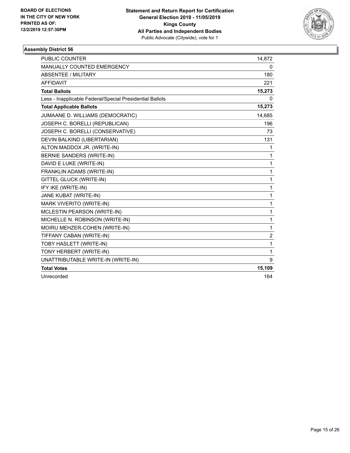

| <b>PUBLIC COUNTER</b>                                    | 14,872         |
|----------------------------------------------------------|----------------|
| <b>MANUALLY COUNTED EMERGENCY</b>                        | 0              |
| <b>ABSENTEE / MILITARY</b>                               | 180            |
| <b>AFFIDAVIT</b>                                         | 221            |
| <b>Total Ballots</b>                                     | 15,273         |
| Less - Inapplicable Federal/Special Presidential Ballots | 0              |
| <b>Total Applicable Ballots</b>                          | 15,273         |
| JUMAANE D. WILLIAMS (DEMOCRATIC)                         | 14,685         |
| JOSEPH C. BORELLI (REPUBLICAN)                           | 196            |
| JOSEPH C. BORELLI (CONSERVATIVE)                         | 73             |
| DEVIN BALKIND (LIBERTARIAN)                              | 131            |
| ALTON MADDOX JR. (WRITE-IN)                              | 1              |
| BERNIE SANDERS (WRITE-IN)                                | 1              |
| DAVID E LUKE (WRITE-IN)                                  | 1              |
| FRANKLIN ADAMS (WRITE-IN)                                | 1              |
| GITTEL GLUCK (WRITE-IN)                                  | 1              |
| IFY IKE (WRITE-IN)                                       | 1              |
| JANE KUBAT (WRITE-IN)                                    | 1              |
| MARK VIVERITO (WRITE-IN)                                 | 1              |
| MCLESTIN PEARSON (WRITE-IN)                              | 1              |
| MICHELLE N. ROBINSON (WRITE-IN)                          | 1              |
| MOIRU MEHZER-COHEN (WRITE-IN)                            | 1              |
| TIFFANY CABAN (WRITE-IN)                                 | $\overline{2}$ |
| TOBY HASLETT (WRITE-IN)                                  | 1              |
| TONY HERBERT (WRITE-IN)                                  | 1              |
| UNATTRIBUTABLE WRITE-IN (WRITE-IN)                       | 9              |
| <b>Total Votes</b>                                       | 15,109         |
| Unrecorded                                               | 164            |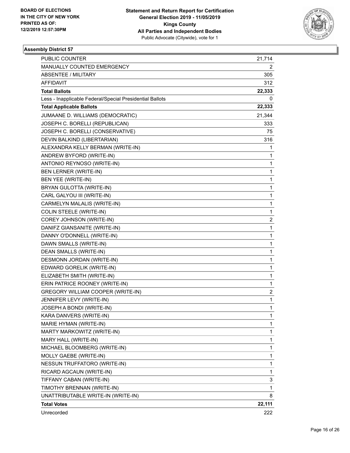

| PUBLIC COUNTER                                           | 21,714                  |
|----------------------------------------------------------|-------------------------|
| MANUALLY COUNTED EMERGENCY                               | 2                       |
| <b>ABSENTEE / MILITARY</b>                               | 305                     |
| AFFIDAVIT                                                | 312                     |
| <b>Total Ballots</b>                                     | 22,333                  |
| Less - Inapplicable Federal/Special Presidential Ballots | 0                       |
| <b>Total Applicable Ballots</b>                          | 22,333                  |
| JUMAANE D. WILLIAMS (DEMOCRATIC)                         | 21,344                  |
| JOSEPH C. BORELLI (REPUBLICAN)                           | 333                     |
| JOSEPH C. BORELLI (CONSERVATIVE)                         | 75                      |
| DEVIN BALKIND (LIBERTARIAN)                              | 316                     |
| ALEXANDRA KELLY BERMAN (WRITE-IN)                        | 1                       |
| ANDREW BYFORD (WRITE-IN)                                 | 1                       |
| ANTONIO REYNOSO (WRITE-IN)                               | 1                       |
| <b>BEN LERNER (WRITE-IN)</b>                             | 1                       |
| BEN YEE (WRITE-IN)                                       | 1                       |
| BRYAN GULOTTA (WRITE-IN)                                 | 1                       |
| CARL GALYOU III (WRITE-IN)                               | 1                       |
| CARMELYN MALALIS (WRITE-IN)                              | 1                       |
| <b>COLIN STEELE (WRITE-IN)</b>                           | 1                       |
| COREY JOHNSON (WRITE-IN)                                 | $\overline{\mathbf{c}}$ |
| DANIFZ GIANSANITE (WRITE-IN)                             | 1                       |
| DANNY O'DONNELL (WRITE-IN)                               | 1                       |
| DAWN SMALLS (WRITE-IN)                                   | 1                       |
| DEAN SMALLS (WRITE-IN)                                   | 1                       |
| DESMONN JORDAN (WRITE-IN)                                | 1                       |
| EDWARD GORELIK (WRITE-IN)                                | 1                       |
| ELIZABETH SMITH (WRITE-IN)                               | 1                       |
| ERIN PATRICE ROONEY (WRITE-IN)                           | 1                       |
| GREGORY WILLIAM COOPER (WRITE-IN)                        | $\overline{\mathbf{c}}$ |
| JENNIFER LEVY (WRITE-IN)                                 | 1                       |
| JOSEPH A BONDI (WRITE-IN)                                | 1                       |
| KARA DANVERS (WRITE-IN)                                  | 1                       |
| MARIE HYMAN (WRITE-IN)                                   | 1                       |
| MARTY MARKOWITZ (WRITE-IN)                               | 1                       |
| MARY HALL (WRITE-IN)                                     | 1                       |
| MICHAEL BLOOMBERG (WRITE-IN)                             | 1                       |
| MOLLY GAEBE (WRITE-IN)                                   | 1                       |
| NESSUN TRUFFATORO (WRITE-IN)                             | 1                       |
| RICARD AGCAUN (WRITE-IN)                                 | 1                       |
| TIFFANY CABAN (WRITE-IN)                                 | 3                       |
| TIMOTHY BRENNAN (WRITE-IN)                               | 1                       |
| UNATTRIBUTABLE WRITE-IN (WRITE-IN)                       | 8                       |
| <b>Total Votes</b>                                       | 22,111                  |
| Unrecorded                                               | 222                     |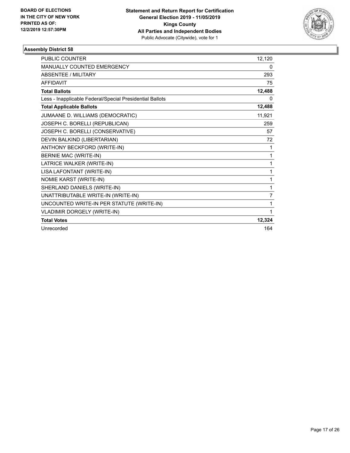

| PUBLIC COUNTER                                           | 12,120         |
|----------------------------------------------------------|----------------|
| MANUALLY COUNTED EMERGENCY                               | 0              |
| <b>ABSENTEE / MILITARY</b>                               | 293            |
| <b>AFFIDAVIT</b>                                         | 75             |
| <b>Total Ballots</b>                                     | 12,488         |
| Less - Inapplicable Federal/Special Presidential Ballots | 0              |
| <b>Total Applicable Ballots</b>                          | 12,488         |
| JUMAANE D. WILLIAMS (DEMOCRATIC)                         | 11,921         |
| JOSEPH C. BORELLI (REPUBLICAN)                           | 259            |
| JOSEPH C. BORELLI (CONSERVATIVE)                         | 57             |
| DEVIN BALKIND (LIBERTARIAN)                              | 72             |
| ANTHONY BECKFORD (WRITE-IN)                              | 1              |
| BERNIE MAC (WRITE-IN)                                    | 1              |
| LATRICE WALKER (WRITE-IN)                                | 1              |
| LISA LAFONTANT (WRITE-IN)                                | 1              |
| NOMIE KARST (WRITE-IN)                                   | 1              |
| SHERLAND DANIELS (WRITE-IN)                              | 1              |
| UNATTRIBUTABLE WRITE-IN (WRITE-IN)                       | $\overline{7}$ |
| UNCOUNTED WRITE-IN PER STATUTE (WRITE-IN)                | 1              |
| VLADIMIR DORGELY (WRITE-IN)                              | 1              |
| <b>Total Votes</b>                                       | 12,324         |
| Unrecorded                                               | 164            |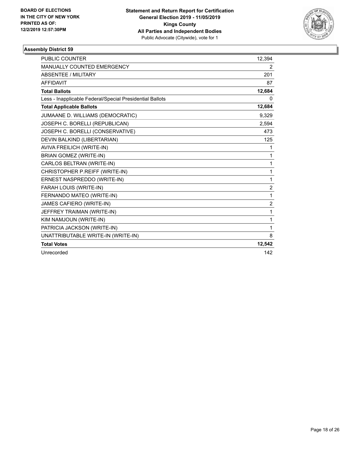

| <b>PUBLIC COUNTER</b>                                    | 12,394         |
|----------------------------------------------------------|----------------|
| MANUALLY COUNTED EMERGENCY                               | $\overline{2}$ |
| <b>ABSENTEE / MILITARY</b>                               | 201            |
| <b>AFFIDAVIT</b>                                         | 87             |
| <b>Total Ballots</b>                                     | 12,684         |
| Less - Inapplicable Federal/Special Presidential Ballots | 0              |
| <b>Total Applicable Ballots</b>                          | 12,684         |
| JUMAANE D. WILLIAMS (DEMOCRATIC)                         | 9,329          |
| JOSEPH C. BORELLI (REPUBLICAN)                           | 2,594          |
| JOSEPH C. BORELLI (CONSERVATIVE)                         | 473            |
| DEVIN BALKIND (LIBERTARIAN)                              | 125            |
| AVIVA FREILICH (WRITE-IN)                                | 1              |
| <b>BRIAN GOMEZ (WRITE-IN)</b>                            | 1              |
| CARLOS BELTRAN (WRITE-IN)                                | 1              |
| CHRISTOPHER P.REIFF (WRITE-IN)                           | $\mathbf{1}$   |
| ERNEST NASPREDDO (WRITE-IN)                              | 1              |
| FARAH LOUIS (WRITE-IN)                                   | $\overline{2}$ |
| FERNANDO MATEO (WRITE-IN)                                | 1              |
| JAMES CAFIERO (WRITE-IN)                                 | 2              |
| JEFFREY TRAIMAN (WRITE-IN)                               | 1              |
| KIM NAMJOUN (WRITE-IN)                                   | 1              |
| PATRICIA JACKSON (WRITE-IN)                              | 1              |
| UNATTRIBUTABLE WRITE-IN (WRITE-IN)                       | 8              |
| <b>Total Votes</b>                                       | 12,542         |
| Unrecorded                                               | 142            |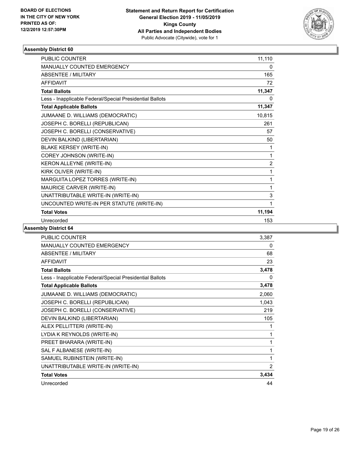

| <b>PUBLIC COUNTER</b>                                    | 11,110         |
|----------------------------------------------------------|----------------|
| MANUALLY COUNTED EMERGENCY                               | 0              |
| <b>ABSENTEE / MILITARY</b>                               | 165            |
| <b>AFFIDAVIT</b>                                         | 72             |
| <b>Total Ballots</b>                                     | 11,347         |
| Less - Inapplicable Federal/Special Presidential Ballots | 0              |
| <b>Total Applicable Ballots</b>                          | 11,347         |
| JUMAANE D. WILLIAMS (DEMOCRATIC)                         | 10,815         |
| JOSEPH C. BORELLI (REPUBLICAN)                           | 261            |
| JOSEPH C. BORELLI (CONSERVATIVE)                         | 57             |
| DEVIN BALKIND (LIBERTARIAN)                              | 50             |
| <b>BLAKE KERSEY (WRITE-IN)</b>                           | 1              |
| COREY JOHNSON (WRITE-IN)                                 | 1              |
| KERON ALLEYNE (WRITE-IN)                                 | $\overline{2}$ |
| KIRK OLIVER (WRITE-IN)                                   | 1              |
| MARGUITA LOPEZ TORRES (WRITE-IN)                         | 1              |
| MAURICE CARVER (WRITE-IN)                                | 1              |
| UNATTRIBUTABLE WRITE-IN (WRITE-IN)                       | 3              |
| UNCOUNTED WRITE-IN PER STATUTE (WRITE-IN)                | 1              |
| <b>Total Votes</b>                                       | 11,194         |
| Unrecorded                                               | 153            |

| <b>PUBLIC COUNTER</b>                                    | 3,387          |
|----------------------------------------------------------|----------------|
| <b>MANUALLY COUNTED EMERGENCY</b>                        | 0              |
| ABSENTEE / MILITARY                                      | 68             |
| <b>AFFIDAVIT</b>                                         | 23             |
| <b>Total Ballots</b>                                     | 3,478          |
| Less - Inapplicable Federal/Special Presidential Ballots | 0              |
| <b>Total Applicable Ballots</b>                          | 3,478          |
| JUMAANE D. WILLIAMS (DEMOCRATIC)                         | 2,060          |
| JOSEPH C. BORELLI (REPUBLICAN)                           | 1,043          |
| JOSEPH C. BORELLI (CONSERVATIVE)                         | 219            |
| DEVIN BALKIND (LIBERTARIAN)                              | 105            |
| ALEX PELLITTERI (WRITE-IN)                               |                |
| LYDIA K REYNOLDS (WRITE-IN)                              | 1              |
| PREET BHARARA (WRITE-IN)                                 | 1              |
| SAL F ALBANESE (WRITE-IN)                                | 1              |
| SAMUEL RUBINSTEIN (WRITE-IN)                             | 1              |
| UNATTRIBUTABLE WRITE-IN (WRITE-IN)                       | $\overline{2}$ |
| <b>Total Votes</b>                                       | 3,434          |
| Unrecorded                                               | 44             |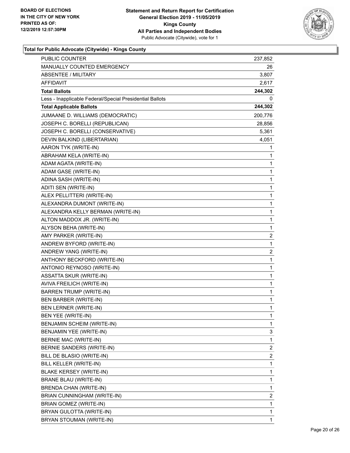

| <b>PUBLIC COUNTER</b>                                    | 237,852        |
|----------------------------------------------------------|----------------|
| <b>MANUALLY COUNTED EMERGENCY</b>                        | 26             |
| <b>ABSENTEE / MILITARY</b>                               | 3,807          |
| AFFIDAVIT                                                | 2,617          |
| <b>Total Ballots</b>                                     | 244,302        |
| Less - Inapplicable Federal/Special Presidential Ballots | 0              |
| <b>Total Applicable Ballots</b>                          | 244,302        |
| JUMAANE D. WILLIAMS (DEMOCRATIC)                         | 200,776        |
| JOSEPH C. BORELLI (REPUBLICAN)                           | 28,856         |
| JOSEPH C. BORELLI (CONSERVATIVE)                         | 5,361          |
| DEVIN BALKIND (LIBERTARIAN)                              | 4,051          |
| AARON TYK (WRITE-IN)                                     | 1              |
| ABRAHAM KELA (WRITE-IN)                                  | 1              |
| ADAM AGATA (WRITE-IN)                                    | 1              |
| ADAM GASE (WRITE-IN)                                     | 1              |
| ADINA SASH (WRITE-IN)                                    | 1              |
| ADITI SEN (WRITE-IN)                                     | 1              |
| ALEX PELLITTERI (WRITE-IN)                               | 1              |
| ALEXANDRA DUMONT (WRITE-IN)                              | 1              |
| ALEXANDRA KELLY BERMAN (WRITE-IN)                        | 1              |
| ALTON MADDOX JR. (WRITE-IN)                              | 1              |
| ALYSON BEHA (WRITE-IN)                                   | 1              |
| AMY PARKER (WRITE-IN)                                    | $\overline{2}$ |
| ANDREW BYFORD (WRITE-IN)                                 | 1              |
| ANDREW YANG (WRITE-IN)                                   | 2              |
| ANTHONY BECKFORD (WRITE-IN)                              | 1              |
| ANTONIO REYNOSO (WRITE-IN)                               | 1              |
| ASSATTA SKUR (WRITE-IN)                                  | 1              |
| AVIVA FREILICH (WRITE-IN)                                | 1              |
| <b>BARREN TRUMP (WRITE-IN)</b>                           | 1              |
| <b>BEN BARBER (WRITE-IN)</b>                             | 1              |
| <b>BEN LERNER (WRITE-IN)</b>                             | 1              |
| BEN YEE (WRITE-IN)                                       | 1              |
| BENJAMIN SCHEIM (WRITE-IN)                               | 1              |
| BENJAMIN YEE (WRITE-IN)                                  | 3              |
| <b>BERNIE MAC (WRITE-IN)</b>                             | 1              |
| BERNIE SANDERS (WRITE-IN)                                | 2              |
| BILL DE BLASIO (WRITE-IN)                                | 2              |
| BILL KELLER (WRITE-IN)                                   | 1              |
| <b>BLAKE KERSEY (WRITE-IN)</b>                           | 1              |
| BRANE BLAU (WRITE-IN)                                    | 1              |
| BRENDA CHAN (WRITE-IN)                                   | 1              |
| BRIAN CUNNINGHAM (WRITE-IN)                              | 2              |
| BRIAN GOMEZ (WRITE-IN)                                   | 1              |
| BRYAN GULOTTA (WRITE-IN)                                 | 1              |
| BRYAN STOUMAN (WRITE-IN)                                 | 1              |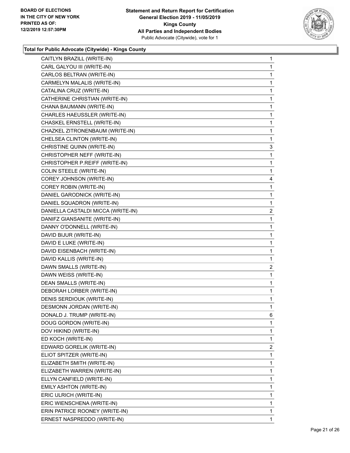

| CAITLYN BRAZILL (WRITE-IN)         | $\mathbf{1}$   |
|------------------------------------|----------------|
| CARL GALYOU III (WRITE-IN)         | 1              |
| CARLOS BELTRAN (WRITE-IN)          | 1              |
| CARMELYN MALALIS (WRITE-IN)        | $\mathbf 1$    |
| CATALINA CRUZ (WRITE-IN)           | 1              |
| CATHERINE CHRISTIAN (WRITE-IN)     | 1              |
| CHANA BAUMANN (WRITE-IN)           | $\mathbf{1}$   |
| CHARLES HAEUSSLER (WRITE-IN)       | 1              |
| CHASKEL ERNSTELL (WRITE-IN)        | 1              |
| CHAZKEL ZITRONENBAUM (WRITE-IN)    | $\mathbf 1$    |
| CHELSEA CLINTON (WRITE-IN)         | 1              |
| CHRISTINE QUINN (WRITE-IN)         | 3              |
| CHRISTOPHER NEFF (WRITE-IN)        | $\mathbf{1}$   |
| CHRISTOPHER P.REIFF (WRITE-IN)     | 1              |
| COLIN STEELE (WRITE-IN)            | 1              |
| COREY JOHNSON (WRITE-IN)           | 4              |
| COREY ROBIN (WRITE-IN)             | 1              |
| DANIEL GARODNICK (WRITE-IN)        | 1              |
| DANIEL SQUADRON (WRITE-IN)         | $\mathbf{1}$   |
| DANIELLA CASTALDI MICCA (WRITE-IN) | $\overline{2}$ |
| DANIFZ GIANSANITE (WRITE-IN)       | 1              |
| DANNY O'DONNELL (WRITE-IN)         | $\mathbf{1}$   |
| DAVID BIJUR (WRITE-IN)             | 1              |
| DAVID E LUKE (WRITE-IN)            | 1              |
| DAVID EISENBACH (WRITE-IN)         | $\mathbf{1}$   |
| DAVID KALLIS (WRITE-IN)            | 1              |
| DAWN SMALLS (WRITE-IN)             | $\overline{c}$ |
| DAWN WEISS (WRITE-IN)              | $\mathbf 1$    |
| DEAN SMALLS (WRITE-IN)             | 1              |
| DEBORAH LORBER (WRITE-IN)          | 1              |
| DENIS SERDIOUK (WRITE-IN)          | $\mathbf{1}$   |
| DESMONN JORDAN (WRITE-IN)          | $\mathbf{1}$   |
| DONALD J. TRUMP (WRITE-IN)         | 6              |
| DOUG GORDON (WRITE-IN)             | 1              |
| DOV HIKIND (WRITE-IN)              | 1              |
| ED KOCH (WRITE-IN)                 | 1              |
| EDWARD GORELIK (WRITE-IN)          | 2              |
| ELIOT SPITZER (WRITE-IN)           | 1              |
| ELIZABETH SMITH (WRITE-IN)         | 1              |
| ELIZABETH WARREN (WRITE-IN)        | 1              |
| ELLYN CANFIELD (WRITE-IN)          | 1              |
| EMILY ASHTON (WRITE-IN)            | 1              |
| ERIC ULRICH (WRITE-IN)             | 1              |
| ERIC WIENSCHENA (WRITE-IN)         | 1              |
| ERIN PATRICE ROONEY (WRITE-IN)     | 1              |
| ERNEST NASPREDDO (WRITE-IN)        | 1              |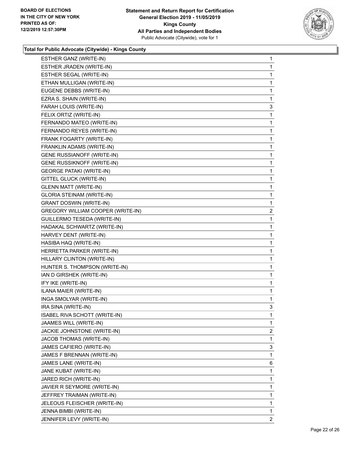

| ESTHER GANZ (WRITE-IN)            | 1            |
|-----------------------------------|--------------|
| ESTHER JRADEN (WRITE-IN)          | 1            |
| ESTHER SEGAL (WRITE-IN)           | 1            |
| ETHAN MULLIGAN (WRITE-IN)         | 1            |
| EUGENE DEBBS (WRITE-IN)           | 1            |
| EZRA S. SHAIN (WRITE-IN)          | 1            |
| FARAH LOUIS (WRITE-IN)            | 3            |
| FELIX ORTIZ (WRITE-IN)            | 1            |
| FERNANDO MATEO (WRITE-IN)         | 1            |
| FERNANDO REYES (WRITE-IN)         | 1            |
| FRANK FOGARTY (WRITE-IN)          | 1            |
| FRANKLIN ADAMS (WRITE-IN)         | 1            |
| <b>GENE RUSSIANOFF (WRITE-IN)</b> | 1            |
| <b>GENE RUSSIKNOFF (WRITE-IN)</b> | 1            |
| <b>GEORGE PATAKI (WRITE-IN)</b>   | 1            |
| GITTEL GLUCK (WRITE-IN)           | 1            |
| <b>GLENN MATT (WRITE-IN)</b>      | 1            |
| <b>GLORIA STEINAM (WRITE-IN)</b>  | 1            |
| <b>GRANT DOSWIN (WRITE-IN)</b>    | 1            |
| GREGORY WILLIAM COOPER (WRITE-IN) | 2            |
| GUILLERMO TESEDA (WRITE-IN)       | 1            |
| HADAKAL SCHWARTZ (WRITE-IN)       | 1            |
| HARVEY DENT (WRITE-IN)            | 1            |
| HASIBA HAQ (WRITE-IN)             | 1            |
| HERRETTA PARKER (WRITE-IN)        | 1            |
| HILLARY CLINTON (WRITE-IN)        | 1            |
| HUNTER S. THOMPSON (WRITE-IN)     | 1            |
| IAN D GIRSHEK (WRITE-IN)          | 1            |
| IFY IKE (WRITE-IN)                | 1            |
| ILANA MAIER (WRITE-IN)            | 1            |
| INGA SMOLYAR (WRITE-IN)           | 1            |
| IRA SINA (WRITE-IN)               | 3            |
| ISABEL RIVA SCHOTT (WRITE-IN)     | 1            |
| JAAMES WILL (WRITE-IN)            | $\mathbf{1}$ |
| JACKIE JOHNSTONE (WRITE-IN)       | 2            |
| JACOB THOMAS (WRITE-IN)           | 1            |
| JAMES CAFIERO (WRITE-IN)          | 3            |
| JAMES F BRENNAN (WRITE-IN)        | 1            |
| JAMES LANE (WRITE-IN)             | 6            |
| JANE KUBAT (WRITE-IN)             | 1            |
| JARED RICH (WRITE-IN)             | 1            |
| JAVIER R SEYMORE (WRITE-IN)       | 1            |
| JEFFREY TRAIMAN (WRITE-IN)        | 1            |
| JELEOUS FLEISCHER (WRITE-IN)      | 1            |
| JENNA BIMBI (WRITE-IN)            | 1            |
| JENNIFER LEVY (WRITE-IN)          | 2            |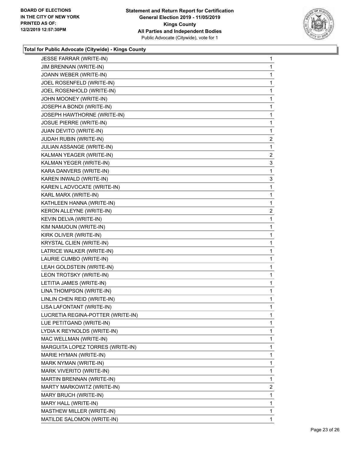

| JIM BRENNAN (WRITE-IN)<br>1<br>JOANN WEBER (WRITE-IN)<br>1<br>JOEL ROSENFELD (WRITE-IN)<br>1<br>JOEL ROSENHOLD (WRITE-IN)<br>1<br>JOHN MOONEY (WRITE-IN)<br>1<br>JOSEPH A BONDI (WRITE-IN)<br>1<br>JOSEPH HAWTHORNE (WRITE-IN)<br>1<br>JOSUE PIERRE (WRITE-IN)<br>1<br>JUAN DEVITO (WRITE-IN)<br>1<br>JUDAH RUBIN (WRITE-IN)<br>$\overline{c}$<br>JULIAN ASSANGE (WRITE-IN)<br>1<br>KALMAN YEAGER (WRITE-IN)<br>KALMAN YEGER (WRITE-IN)<br>3<br>KARA DANVERS (WRITE-IN)<br>1<br>KAREN INWALD (WRITE-IN)<br>3<br>KAREN L ADVOCATE (WRITE-IN)<br>1<br>KARL MARX (WRITE-IN)<br>1<br>KATHLEEN HANNA (WRITE-IN)<br>1<br>KERON ALLEYNE (WRITE-IN)<br>$\overline{2}$<br>KEVIN DELVA (WRITE-IN)<br>1<br>KIM NAMJOUN (WRITE-IN)<br>1<br>KIRK OLIVER (WRITE-IN)<br>1<br>KRYSTAL CLIEN (WRITE-IN)<br>1<br>LATRICE WALKER (WRITE-IN)<br>1<br>LAURIE CUMBO (WRITE-IN)<br>1<br>LEAH GOLDSTEIN (WRITE-IN)<br>1<br>LEON TROTSKY (WRITE-IN)<br>1<br>LETITIA JAMES (WRITE-IN)<br>1<br>LINA THOMPSON (WRITE-IN)<br>1<br>LINLIN CHEN REID (WRITE-IN)<br>1<br>LISA LAFONTANT (WRITE-IN)<br>1<br>LUCRETIA REGINA-POTTER (WRITE-IN)<br>1<br>LUE PETITGAND (WRITE-IN)<br>1<br>LYDIA K REYNOLDS (WRITE-IN)<br>1<br>MAC WELLMAN (WRITE-IN)<br>1<br>MARGUITA LOPEZ TORRES (WRITE-IN)<br>1<br>MARIE HYMAN (WRITE-IN)<br>1<br>MARK NYMAN (WRITE-IN)<br>1<br>MARK VIVERITO (WRITE-IN)<br>1<br>MARTIN BRENNAN (WRITE-IN)<br>1<br>MARTY MARKOWITZ (WRITE-IN)<br>MARY BRUCH (WRITE-IN)<br>1<br>MARY HALL (WRITE-IN)<br>1<br>MASTHEW MILLER (WRITE-IN)<br>1<br>MATILDE SALOMON (WRITE-IN)<br>1 | JESSE FARRAR (WRITE-IN) | 1              |
|--------------------------------------------------------------------------------------------------------------------------------------------------------------------------------------------------------------------------------------------------------------------------------------------------------------------------------------------------------------------------------------------------------------------------------------------------------------------------------------------------------------------------------------------------------------------------------------------------------------------------------------------------------------------------------------------------------------------------------------------------------------------------------------------------------------------------------------------------------------------------------------------------------------------------------------------------------------------------------------------------------------------------------------------------------------------------------------------------------------------------------------------------------------------------------------------------------------------------------------------------------------------------------------------------------------------------------------------------------------------------------------------------------------------------------------------------------------------------------------------------------------------------------------------------------------|-------------------------|----------------|
|                                                                                                                                                                                                                                                                                                                                                                                                                                                                                                                                                                                                                                                                                                                                                                                                                                                                                                                                                                                                                                                                                                                                                                                                                                                                                                                                                                                                                                                                                                                                                              |                         |                |
|                                                                                                                                                                                                                                                                                                                                                                                                                                                                                                                                                                                                                                                                                                                                                                                                                                                                                                                                                                                                                                                                                                                                                                                                                                                                                                                                                                                                                                                                                                                                                              |                         |                |
|                                                                                                                                                                                                                                                                                                                                                                                                                                                                                                                                                                                                                                                                                                                                                                                                                                                                                                                                                                                                                                                                                                                                                                                                                                                                                                                                                                                                                                                                                                                                                              |                         |                |
|                                                                                                                                                                                                                                                                                                                                                                                                                                                                                                                                                                                                                                                                                                                                                                                                                                                                                                                                                                                                                                                                                                                                                                                                                                                                                                                                                                                                                                                                                                                                                              |                         |                |
|                                                                                                                                                                                                                                                                                                                                                                                                                                                                                                                                                                                                                                                                                                                                                                                                                                                                                                                                                                                                                                                                                                                                                                                                                                                                                                                                                                                                                                                                                                                                                              |                         |                |
|                                                                                                                                                                                                                                                                                                                                                                                                                                                                                                                                                                                                                                                                                                                                                                                                                                                                                                                                                                                                                                                                                                                                                                                                                                                                                                                                                                                                                                                                                                                                                              |                         |                |
|                                                                                                                                                                                                                                                                                                                                                                                                                                                                                                                                                                                                                                                                                                                                                                                                                                                                                                                                                                                                                                                                                                                                                                                                                                                                                                                                                                                                                                                                                                                                                              |                         |                |
|                                                                                                                                                                                                                                                                                                                                                                                                                                                                                                                                                                                                                                                                                                                                                                                                                                                                                                                                                                                                                                                                                                                                                                                                                                                                                                                                                                                                                                                                                                                                                              |                         |                |
|                                                                                                                                                                                                                                                                                                                                                                                                                                                                                                                                                                                                                                                                                                                                                                                                                                                                                                                                                                                                                                                                                                                                                                                                                                                                                                                                                                                                                                                                                                                                                              |                         |                |
|                                                                                                                                                                                                                                                                                                                                                                                                                                                                                                                                                                                                                                                                                                                                                                                                                                                                                                                                                                                                                                                                                                                                                                                                                                                                                                                                                                                                                                                                                                                                                              |                         |                |
|                                                                                                                                                                                                                                                                                                                                                                                                                                                                                                                                                                                                                                                                                                                                                                                                                                                                                                                                                                                                                                                                                                                                                                                                                                                                                                                                                                                                                                                                                                                                                              |                         |                |
|                                                                                                                                                                                                                                                                                                                                                                                                                                                                                                                                                                                                                                                                                                                                                                                                                                                                                                                                                                                                                                                                                                                                                                                                                                                                                                                                                                                                                                                                                                                                                              |                         | $\overline{2}$ |
|                                                                                                                                                                                                                                                                                                                                                                                                                                                                                                                                                                                                                                                                                                                                                                                                                                                                                                                                                                                                                                                                                                                                                                                                                                                                                                                                                                                                                                                                                                                                                              |                         |                |
|                                                                                                                                                                                                                                                                                                                                                                                                                                                                                                                                                                                                                                                                                                                                                                                                                                                                                                                                                                                                                                                                                                                                                                                                                                                                                                                                                                                                                                                                                                                                                              |                         |                |
|                                                                                                                                                                                                                                                                                                                                                                                                                                                                                                                                                                                                                                                                                                                                                                                                                                                                                                                                                                                                                                                                                                                                                                                                                                                                                                                                                                                                                                                                                                                                                              |                         |                |
|                                                                                                                                                                                                                                                                                                                                                                                                                                                                                                                                                                                                                                                                                                                                                                                                                                                                                                                                                                                                                                                                                                                                                                                                                                                                                                                                                                                                                                                                                                                                                              |                         |                |
|                                                                                                                                                                                                                                                                                                                                                                                                                                                                                                                                                                                                                                                                                                                                                                                                                                                                                                                                                                                                                                                                                                                                                                                                                                                                                                                                                                                                                                                                                                                                                              |                         |                |
|                                                                                                                                                                                                                                                                                                                                                                                                                                                                                                                                                                                                                                                                                                                                                                                                                                                                                                                                                                                                                                                                                                                                                                                                                                                                                                                                                                                                                                                                                                                                                              |                         |                |
|                                                                                                                                                                                                                                                                                                                                                                                                                                                                                                                                                                                                                                                                                                                                                                                                                                                                                                                                                                                                                                                                                                                                                                                                                                                                                                                                                                                                                                                                                                                                                              |                         |                |
|                                                                                                                                                                                                                                                                                                                                                                                                                                                                                                                                                                                                                                                                                                                                                                                                                                                                                                                                                                                                                                                                                                                                                                                                                                                                                                                                                                                                                                                                                                                                                              |                         |                |
|                                                                                                                                                                                                                                                                                                                                                                                                                                                                                                                                                                                                                                                                                                                                                                                                                                                                                                                                                                                                                                                                                                                                                                                                                                                                                                                                                                                                                                                                                                                                                              |                         |                |
|                                                                                                                                                                                                                                                                                                                                                                                                                                                                                                                                                                                                                                                                                                                                                                                                                                                                                                                                                                                                                                                                                                                                                                                                                                                                                                                                                                                                                                                                                                                                                              |                         |                |
|                                                                                                                                                                                                                                                                                                                                                                                                                                                                                                                                                                                                                                                                                                                                                                                                                                                                                                                                                                                                                                                                                                                                                                                                                                                                                                                                                                                                                                                                                                                                                              |                         |                |
|                                                                                                                                                                                                                                                                                                                                                                                                                                                                                                                                                                                                                                                                                                                                                                                                                                                                                                                                                                                                                                                                                                                                                                                                                                                                                                                                                                                                                                                                                                                                                              |                         |                |
|                                                                                                                                                                                                                                                                                                                                                                                                                                                                                                                                                                                                                                                                                                                                                                                                                                                                                                                                                                                                                                                                                                                                                                                                                                                                                                                                                                                                                                                                                                                                                              |                         |                |
|                                                                                                                                                                                                                                                                                                                                                                                                                                                                                                                                                                                                                                                                                                                                                                                                                                                                                                                                                                                                                                                                                                                                                                                                                                                                                                                                                                                                                                                                                                                                                              |                         |                |
|                                                                                                                                                                                                                                                                                                                                                                                                                                                                                                                                                                                                                                                                                                                                                                                                                                                                                                                                                                                                                                                                                                                                                                                                                                                                                                                                                                                                                                                                                                                                                              |                         |                |
|                                                                                                                                                                                                                                                                                                                                                                                                                                                                                                                                                                                                                                                                                                                                                                                                                                                                                                                                                                                                                                                                                                                                                                                                                                                                                                                                                                                                                                                                                                                                                              |                         |                |
|                                                                                                                                                                                                                                                                                                                                                                                                                                                                                                                                                                                                                                                                                                                                                                                                                                                                                                                                                                                                                                                                                                                                                                                                                                                                                                                                                                                                                                                                                                                                                              |                         |                |
|                                                                                                                                                                                                                                                                                                                                                                                                                                                                                                                                                                                                                                                                                                                                                                                                                                                                                                                                                                                                                                                                                                                                                                                                                                                                                                                                                                                                                                                                                                                                                              |                         |                |
|                                                                                                                                                                                                                                                                                                                                                                                                                                                                                                                                                                                                                                                                                                                                                                                                                                                                                                                                                                                                                                                                                                                                                                                                                                                                                                                                                                                                                                                                                                                                                              |                         |                |
|                                                                                                                                                                                                                                                                                                                                                                                                                                                                                                                                                                                                                                                                                                                                                                                                                                                                                                                                                                                                                                                                                                                                                                                                                                                                                                                                                                                                                                                                                                                                                              |                         |                |
|                                                                                                                                                                                                                                                                                                                                                                                                                                                                                                                                                                                                                                                                                                                                                                                                                                                                                                                                                                                                                                                                                                                                                                                                                                                                                                                                                                                                                                                                                                                                                              |                         |                |
|                                                                                                                                                                                                                                                                                                                                                                                                                                                                                                                                                                                                                                                                                                                                                                                                                                                                                                                                                                                                                                                                                                                                                                                                                                                                                                                                                                                                                                                                                                                                                              |                         |                |
|                                                                                                                                                                                                                                                                                                                                                                                                                                                                                                                                                                                                                                                                                                                                                                                                                                                                                                                                                                                                                                                                                                                                                                                                                                                                                                                                                                                                                                                                                                                                                              |                         |                |
|                                                                                                                                                                                                                                                                                                                                                                                                                                                                                                                                                                                                                                                                                                                                                                                                                                                                                                                                                                                                                                                                                                                                                                                                                                                                                                                                                                                                                                                                                                                                                              |                         |                |
|                                                                                                                                                                                                                                                                                                                                                                                                                                                                                                                                                                                                                                                                                                                                                                                                                                                                                                                                                                                                                                                                                                                                                                                                                                                                                                                                                                                                                                                                                                                                                              |                         |                |
|                                                                                                                                                                                                                                                                                                                                                                                                                                                                                                                                                                                                                                                                                                                                                                                                                                                                                                                                                                                                                                                                                                                                                                                                                                                                                                                                                                                                                                                                                                                                                              |                         |                |
|                                                                                                                                                                                                                                                                                                                                                                                                                                                                                                                                                                                                                                                                                                                                                                                                                                                                                                                                                                                                                                                                                                                                                                                                                                                                                                                                                                                                                                                                                                                                                              |                         |                |
|                                                                                                                                                                                                                                                                                                                                                                                                                                                                                                                                                                                                                                                                                                                                                                                                                                                                                                                                                                                                                                                                                                                                                                                                                                                                                                                                                                                                                                                                                                                                                              |                         |                |
|                                                                                                                                                                                                                                                                                                                                                                                                                                                                                                                                                                                                                                                                                                                                                                                                                                                                                                                                                                                                                                                                                                                                                                                                                                                                                                                                                                                                                                                                                                                                                              |                         | $\overline{2}$ |
|                                                                                                                                                                                                                                                                                                                                                                                                                                                                                                                                                                                                                                                                                                                                                                                                                                                                                                                                                                                                                                                                                                                                                                                                                                                                                                                                                                                                                                                                                                                                                              |                         |                |
|                                                                                                                                                                                                                                                                                                                                                                                                                                                                                                                                                                                                                                                                                                                                                                                                                                                                                                                                                                                                                                                                                                                                                                                                                                                                                                                                                                                                                                                                                                                                                              |                         |                |
|                                                                                                                                                                                                                                                                                                                                                                                                                                                                                                                                                                                                                                                                                                                                                                                                                                                                                                                                                                                                                                                                                                                                                                                                                                                                                                                                                                                                                                                                                                                                                              |                         |                |
|                                                                                                                                                                                                                                                                                                                                                                                                                                                                                                                                                                                                                                                                                                                                                                                                                                                                                                                                                                                                                                                                                                                                                                                                                                                                                                                                                                                                                                                                                                                                                              |                         |                |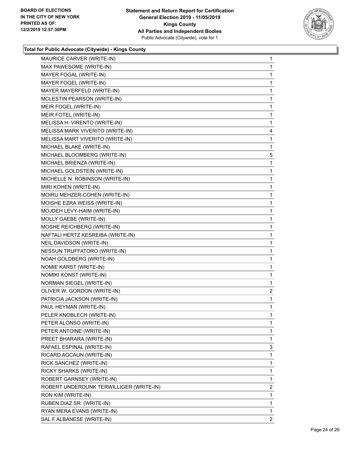

| MAURICE CARVER (WRITE-IN)               | $\mathbf{1}$ |
|-----------------------------------------|--------------|
| MAX PAWESOME (WRITE-IN)                 | 1            |
| MAYER FOGAL (WRITE-IN)                  | 1            |
| MAYER FOGEL (WRITE-IN)                  | $\mathbf 1$  |
| MAYER MAYERFELD (WRITE-IN)              | 1            |
| MCLESTIN PEARSON (WRITE-IN)             | 1            |
| MEIR FOGEL (WRITE-IN)                   | 1            |
| MEIR FOTEL (WRITE-IN)                   | 1            |
| MELISSA H. VIRENTO (WRITE-IN)           | 1            |
| MELISSA MARK VIVERITO (WRITE-IN)        | 4            |
| MELISSA MART VIVERITO (WRITE-IN)        | 1            |
| MICHAEL BLAKE (WRITE-IN)                | 1            |
| MICHAEL BLOOMBERG (WRITE-IN)            | 5            |
| MICHAEL BRIENZA (WRITE-IN)              | 1            |
| MICHAEL GOLDSTEIN (WRITE-IN)            | 1            |
| MICHELLE N. ROBINSON (WRITE-IN)         | $\mathbf 1$  |
| MIRI KOHEN (WRITE-IN)                   | 1            |
| MOIRU MEHZER-COHEN (WRITE-IN)           | 1            |
| MOISHE EZRA WEISS (WRITE-IN)            | 1            |
| MOJDEH LEVY-HAIM (WRITE-IN)             | 1            |
| MOLLY GAEBE (WRITE-IN)                  | 1            |
| MOSHE REICHBERG (WRITE-IN)              | $\mathbf 1$  |
| NAFTALI HERTZ KESREIBA (WRITE-IN)       | 1            |
| NEIL DAVIDSON (WRITE-IN)                | 1            |
| NESSUN TRUFFATORO (WRITE-IN)            | 1            |
| NOAH GOLDBERG (WRITE-IN)                | 1            |
| NOMIE KARST (WRITE-IN)                  | 1            |
| NOMIKI KONST (WRITE-IN)                 | $\mathbf 1$  |
| NORMAN SIEGEL (WRITE-IN)                | 1            |
| OLIVER W. GORDON (WRITE-IN)             | 2            |
| PATRICIA JACKSON (WRITE-IN)             | $\mathbf{1}$ |
| PAUL HEYMAN (WRITE-IN)                  | 1            |
| PELER KNOBLECH (WRITE-IN)               | $\mathbf 1$  |
| PETER ALONSO (WRITE-IN)                 | 1            |
| PETER ANTOINE (WRITE-IN)                | 1            |
| PREET BHARARA (WRITE-IN)                | 1            |
| RAFAEL ESPINAL (WRITE-IN)               | 3            |
| RICARD AGCAUN (WRITE-IN)                | 1            |
| RICK SANCHEZ (WRITE-IN)                 | 1            |
| RICKY SHARKS (WRITE-IN)                 | 1            |
| ROBERT GARNSEY (WRITE-IN)               | 1            |
| ROBERT UNDERDUNK TERWILLIGER (WRITE-IN) | 2            |
| RON KIM (WRITE-IN)                      | 1            |
| RUBEN DIAZ SR. (WRITE-IN)               | 1            |
| RYAN MERA EVANS (WRITE-IN)              | $\mathbf{1}$ |
| SAL F ALBANESE (WRITE-IN)               | $\mathbf{2}$ |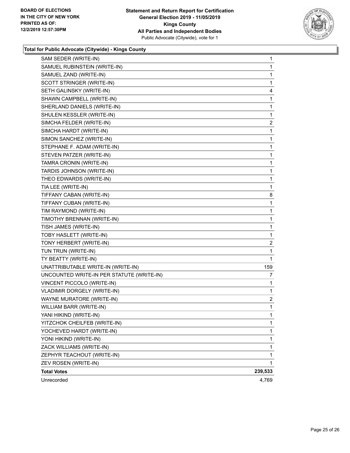

| SAM SEDER (WRITE-IN)                      | 1              |
|-------------------------------------------|----------------|
| SAMUEL RUBINSTEIN (WRITE-IN)              | 1              |
| SAMUEL ZAND (WRITE-IN)                    | 1              |
| SCOTT STRINGER (WRITE-IN)                 | 1              |
| SETH GALINSKY (WRITE-IN)                  | 4              |
| SHAWN CAMPBELL (WRITE-IN)                 | 1              |
| SHERLAND DANIELS (WRITE-IN)               | 1              |
| SHULEN KESSLER (WRITE-IN)                 | 1              |
| SIMCHA FELDER (WRITE-IN)                  | 2              |
| SIMCHA HARDT (WRITE-IN)                   | 1              |
| SIMON SANCHEZ (WRITE-IN)                  | 1              |
| STEPHANE F. ADAM (WRITE-IN)               | 1              |
| STEVEN PATZER (WRITE-IN)                  | 1              |
| TAMRA CRONIN (WRITE-IN)                   | 1              |
| TARDIS JOHNSON (WRITE-IN)                 | 1              |
| THEO EDWARDS (WRITE-IN)                   | 1              |
| TIA LEE (WRITE-IN)                        | 1              |
| TIFFANY CABAN (WRITE-IN)                  | 8              |
| TIFFANY CUBAN (WRITE-IN)                  | 1              |
| TIM RAYMOND (WRITE-IN)                    | 1              |
| TIMOTHY BRENNAN (WRITE-IN)                | 1              |
| TISH JAMES (WRITE-IN)                     | 1              |
| TOBY HASLETT (WRITE-IN)                   | 1              |
| TONY HERBERT (WRITE-IN)                   | 2              |
| TUN TRUN (WRITE-IN)                       | 1              |
| TY BEATTY (WRITE-IN)                      | 1              |
| UNATTRIBUTABLE WRITE-IN (WRITE-IN)        | 159            |
| UNCOUNTED WRITE-IN PER STATUTE (WRITE-IN) | 7              |
| VINCENT PICCOLO (WRITE-IN)                | 1              |
| VLADIMIR DORGELY (WRITE-IN)               | 1              |
| WAYNE MURATORE (WRITE-IN)                 | $\overline{2}$ |
| WILLIAM BARR (WRITE-IN)                   | 1              |
| YANI HIKIND (WRITE-IN)                    | 1              |
| YITZCHOK CHEILFEB (WRITE-IN)              | 1              |
| YOCHEVED HARDT (WRITE-IN)                 | 1              |
| YONI HIKIND (WRITE-IN)                    | 1              |
| ZACK WILLIAMS (WRITE-IN)                  | 1              |
| ZEPHYR TEACHOUT (WRITE-IN)                | 1              |
| ZEV ROSEN (WRITE-IN)                      | 1              |
| <b>Total Votes</b>                        | 239,533        |
| Unrecorded                                | 4,769          |